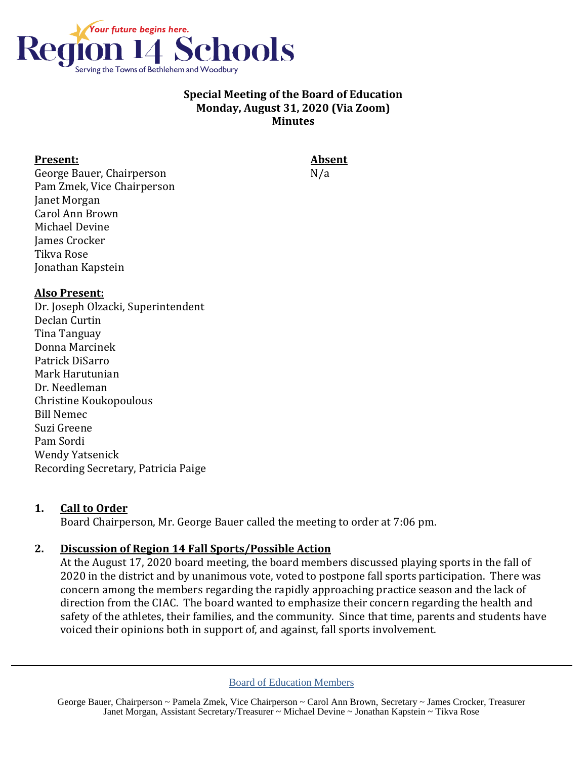

### **Special Meeting of the Board of Education Monday, August 31, 2020 (Via Zoom) Minutes**

#### **Present: Absent**

George Bauer, Chairperson N/a Pam Zmek, Vice Chairperson Janet Morgan Carol Ann Brown Michael Devine James Crocker Tikva Rose Jonathan Kapstein

### **Also Present:**

Dr. Joseph Olzacki, Superintendent Declan Curtin Tina Tanguay Donna Marcinek Patrick DiSarro Mark Harutunian Dr. Needleman Christine Koukopoulous Bill Nemec Suzi Greene Pam Sordi Wendy Yatsenick Recording Secretary, Patricia Paige

### **1. Call to Order**

Board Chairperson, Mr. George Bauer called the meeting to order at 7:06 pm.

### **2. Discussion of Region 14 Fall Sports/Possible Action**

At the August 17, 2020 board meeting, the board members discussed playing sports in the fall of 2020 in the district and by unanimous vote, voted to postpone fall sports participation. There was concern among the members regarding the rapidly approaching practice season and the lack of direction from the CIAC. The board wanted to emphasize their concern regarding the health and safety of the athletes, their families, and the community. Since that time, parents and students have voiced their opinions both in support of, and against, fall sports involvement.

Board of Education Members

George Bauer, Chairperson ~ Pamela Zmek, Vice Chairperson ~ Carol Ann Brown, Secretary ~ James Crocker, Treasurer Janet Morgan, Assistant Secretary/Treasurer ~ Michael Devine ~ Jonathan Kapstein ~ Tikva Rose